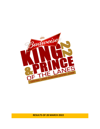

**RESULTS OF 20 MARCH 2022**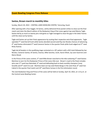## **Guam Bowling Congress Press Release**

### **Santos, Brown march to monthly titles**

Sunday, March 20, 2022 – CENTRAL LANES BOWLING CENTER, Tamuning, Guam

After opening with a four bagger, RJ Santos, calmly delivered three pocket strikes to close out the final match and claim the March edition of the Budweiser King of the Lanes against top seed Manny Tagle. Santos led by as much as twenty pins mid-game as Tagle managed to close the gap in the latter frames until the close out by Santos.

Tagle and Santos set up their finals appearance by ousting their respective semi-final opponents. Tagle upended 7<sup>th</sup> seed Darrell Scott while Santos derailed second seed Ray San Nicolas chances of advancing. 4<sup>th</sup> seed Santos eliminated 3<sup>rd</sup> seed Cameron Santos in the quarter finals while Scott edged out 5<sup>th</sup> seed Ricky Duenas.

Tagle led all bowlers in the qualifying stage contested on a 39' pattern with a 822 total followed by San Nicolas, Cameron Santos, RJ Santos, Duenas, Mike Sanchez, Scott, Aaron Elliott, Jay Leon Guerrero and Maria Wood.

In the Prince of the Lanes contest,  $3^{rd}$  seed Mike Brown marched to the title outlasting  $5^{th}$  seed Gomez Martinez to earn his first Budweiser Prince of the Lanes title ever. Brown's road to the finals includes wins over  $2^{nd}$  seed Jose Natividad,  $4^{th}$  seed and defending back-to-back monthly champion Corey Granillo and 9<sup>th</sup> seed Cris Leal. Martinez beat out top seed Sheila Bangs in the semi-final, 6<sup>th</sup> seed Von Cabral in the quarter final match and 10<sup>th</sup> seed Rene Cariaso in the first elimination round.

The next Budweiser King and Prince of the Lanes will be held on Sunday, April 10, 2022, at 1:15 p.m. at the Central Lanes Bowling Center.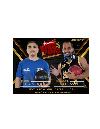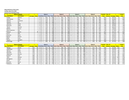## **King and Prince of the Lanes**

# **Sunday, March 20, 2022**

**Central Lanes Bowling Center**

| <b>Name of Bowler</b> |                      |                   |                |      |        | Game 1 |                          |                |      |        | Game 2       |                                  |                 |              | Game 3 |     |    |                                  |            | Game 4 |                 |    | <b>Scratch</b> | No. of       |              |                | Grand       |              |
|-----------------------|----------------------|-------------------|----------------|------|--------|--------|--------------------------|----------------|------|--------|--------------|----------------------------------|-----------------|--------------|--------|-----|----|----------------------------------|------------|--------|-----------------|----|----------------|--------------|--------------|----------------|-------------|--------------|
|                       | <b>Pos Last Name</b> | <b>First Name</b> | <b>Average</b> | Hdcp |        |        | Lane   Seq   Score   Hcp |                |      |        |              | Total   Lane   Seq   Score   Hcp |                 | <b>Total</b> |        |     |    | Lane   Seq   Score   Hcp   Total | Lane   Seg |        | Score Hcp Total |    |                | <b>Total</b> | <b>Games</b> | <b>Average</b> | <b>Hdcp</b> | <b>Total</b> |
|                       | 1 Bangs              | Sheila            | 162            | 29   |        |        | 167                      | 2 <sup>c</sup> | 196  | $\cap$ | B            | 190                              | 29              | 219          | 26     | 140 | 29 | 169                              | $\cap$     |        | 147             | 29 | 176            | 644          |              | 161.00         | 116         | 760          |
|                       | 2 Natividad          | <b>Jose</b>       | 166            | 18   |        |        | 186                      | 18             | 204  | 26     | $\mathsf{B}$ | 142                              | 18              | 160          | 30     | 150 | 18 | 168                              |            | B      | 200             |    | 218            | 678          |              | 169.50         | 72          | 750          |
|                       | 3 Brown              | Mike              | 158            | 24   | 28     |        | 137                      | 24             | 161  |        | B            | 179                              | 24              | 203          | 18     | 184 | 24 | 208                              |            |        | 153             | 24 | <b>177</b>     | 653          |              | 163.25         | 96I         | 749          |
|                       | 4 Granillo           | Corey             | 174            |      |        |        | 1331                     | 12             | 145  | 28     | B            | 157                              | 12              | 169          | 14     | 165 | 12 | 177                              | 18         |        | 214             | 12 | 226            | 669          |              | 167.25         | 48 I        | 717          |
|                       | 5 Martinez           | Gomez             | 173            | ᅩ    | 30     | D      | 1381                     | 12             | 150  | 16     | $\mathsf B$  | 186                              | 12              | 198          | 20     | 168 | 12 | 180                              | 24         | B      | 157             | 12 | 169            | 649          |              | 162.25         | 48 I        | 697          |
|                       | 6 Cabral             | lVon              | 168            | 16   | 29     | D      | 155 <sup>1</sup>         | 16             |      |        | B            | 144                              | 16              | 160          |        | 158 | 16 | 174                              |            | B      | 166             |    | <b>182</b>     | 623          |              | 155.75         | 64 I        | 687          |
|                       | 1Kim                 | Miyuki            | 146            |      | $\cap$ | n.     | 129 I                    | 41             | 170  |        | B            | 114                              | 41              | 155          | 28     | 156 | 41 | 197                              | 14         |        | 115             | 41 | 156            | 514          |              | 128.50         | 164         | 678          |
|                       | 8 Palaganas          | Rudy              | 168            | 16   |        |        | 149                      | 16             | 165  | 20     | B            | 145                              | 16              | 161          | 24     | 161 | 16 | 177                              | 28         |        | 147             | ΤO | 163            | 602          |              | 150.50         | 64 I        | 666          |
|                       | Э Leal               | Cris              | 175            | ᆠᆂ   |        |        | 1651                     | 11             | 1761 | 30     | B            | 137                              | 11              | 148          | 16     | 158 | 11 | 169                              |            | B      | 149             | ᆠ  | 160            | 609          |              | 152.25         | 44          | 653          |
|                       | 10 Cariaso           | Rene              | 169            | 15   | 30     |        | 128 l                    | 15             | 143  | 16     |              | 153                              | 15 <sub>1</sub> | 168          | 20     | 136 | 15 | 151                              |            |        | 156             | TЭ | 171            | 573          |              | 143.25         | 60 I        | 633          |
|                       | 11 Roberto           | Bill              | 170            |      |        | D      | 160 I                    | 1!             | 175  | 18     | B            | 105                              | 15 <sub>1</sub> | 120          | 22     | 108 | 15 | 123                              |            |        | 138             | ΤP | <b>1531</b>    | 511          |              | 127.75         |             | 571          |

| <b>Name of Bowler</b> |                   |                |             | Game 1 |  |                                                             | Game 2 |                  |                          |                |     |  | Game 3       |    |                |                          |  |                 | Game 4 |  | <b>Scratch</b>            | <u>No. of </u> |              |              | Grand          |      |              |
|-----------------------|-------------------|----------------|-------------|--------|--|-------------------------------------------------------------|--------|------------------|--------------------------|----------------|-----|--|--------------|----|----------------|--------------------------|--|-----------------|--------|--|---------------------------|----------------|--------------|--------------|----------------|------|--------------|
| <b>Pos Last Name</b>  | <b>First Name</b> | <b>Average</b> | <b>Hdcp</b> |        |  | Lane   Seq   Score   Hcp   Total   Lane   Seq   Score   Hcp |        |                  |                          |                |     |  | <b>Total</b> |    |                | Lane   Seq   Score   Hcp |  | <b>Total</b>    | Lane   |  | Seq   Score   Hcp   Total |                | <b>Total</b> | <b>Games</b> | <b>Average</b> | Hdcp | <b>Total</b> |
| 1 Tagle               | Manny             |                |             | 28     |  | 242                                                         |        | 242 l            | 14                       | A              | 181 |  | 181          | 18 | A              | 231                      |  | 231             | 22     |  | 168                       | 168            | 822          |              | 205.50         |      | 822          |
| 2 San Nicolas         | Ray               |                |             | 26     |  | 179                                                         |        | 1791             | 30                       |                | 232 |  | 232          | 16 |                | 181                      |  | 181             | 20     |  | 208                       | 208            | 800          |              | 200.00         |      | 800          |
| 3 Santos              | Cameron           |                |             | 21     |  | 219                                                         |        | <b>2191</b>      |                          |                | 190 |  | 190          | 13 | A              | 157                      |  | 157             | 27     |  | 189                       | 189            | 755          |              | 188.75         |      | 755          |
| 4 Santos              | <b>RJ</b>         |                |             | 18     |  | 198                                                         |        | 1981             | 22                       |                | 215 |  | 215          | 26 | $\overline{A}$ | 17 <sub>3</sub>          |  | 173             | 30     |  | 169                       | 169            | 755          |              | 188.75         |      | 755          |
| Duenas                | Ricky             |                |             | 16     |  | 133                                                         |        | 1331             | 20                       |                | 216 |  | 216          | 24 |                | 190                      |  | 190             | 28     |  | 213                       | 213            | 752          |              | 188.00         |      | 752          |
| 6 Sanchez             | Mike              |                |             | 19     |  | 179                                                         |        | 179 <sub>l</sub> |                          | $\overline{A}$ | 192 |  | 192          | 29 | $\Delta$       | 150                      |  | 150             | 25     |  | 219                       | 219            | 740          |              | 185.00         |      | 740          |
| 7 Scott               | Darrell           |                |             | 22     |  | 170                                                         |        | 170              | 26                       |                | 245 |  | 245          | 30 |                | 169                      |  | 16 <sub>S</sub> | 16     |  | 149                       | 149            | 733          |              | 183.25         |      | 733          |
| 8 Elliott             | Aaron             |                |             | 24     |  | 192                                                         |        | 192              | 28                       |                | 146 |  | 146          | 14 |                | 172                      |  | 172             | 18     |  | 204                       | 204            | 714          |              | 178.50         |      | 714          |
| 9 Leon Guerrero       | Jay               |                |             | 27     |  | 156                                                         |        | 156I             | 23                       | $\Delta$       | 214 |  | 214          | 19 |                | 201                      |  | 201             | 15     |  | 139                       | 139            | 710          |              | 177.50         |      | 710          |
| 10 Wood               | Maria             |                | 8           | 23     |  | 180                                                         |        | 188              | 19                       |                | 180 |  | 188          | 15 | $\overline{A}$ | 158                      |  | 166             | 29     |  | 143                       | 151            | 661          |              | 165.25         | 32   | 693          |
| 11 Cruz               | Ray               |                |             | 17     |  | 146                                                         |        | 146 l            | 13                       |                | 169 |  | 169          | 27 |                | 180                      |  | 180             | 23     |  | 190                       | 190            | 685          |              | 171.25         |      | 685          |
| 12 Duenas             | Evan              |                |             | 20     |  | 169                                                         |        | 169              | 24                       |                | 181 |  | 181          | 28 |                | 169                      |  | 169             | 14     |  | 158                       | 158            | 677          |              | 169.25         |      | 677          |
| 13 Borja              | Darien            |                |             | 25     |  | 133                                                         |        | 1331             |                          | $\overline{A}$ | 137 |  | 137          |    | $\overline{A}$ | 189                      |  | 189             | 13     |  | 158                       | 158            | 617          |              | 154.25         |      | 617          |
| 14 Blas               | Juan              |                |             | 15     |  | 140                                                         |        | 140              | 29                       |                | 150 |  | 150          | 25 | $\overline{A}$ | 166                      |  | 166             | 21     |  | 159                       | 159            | 615          |              | 153.75         |      | 615          |
| 15 Borja              | Gregory           |                |             | 13     |  | 146                                                         |        | 146 I            | $\overline{\phantom{0}}$ |                | 134 |  | 134          | 23 |                | 191                      |  | 191             | 19     |  | 134                       | 134            | 605          |              | 151.25         |      | 605          |
| 16 Etheridge          | Ty                |                |             | 14     |  | 109                                                         |        | .091             | 18                       |                | 167 |  | 167          | 22 |                | 17!                      |  | 175             | 26     |  | 139                       | 139            | 590          |              | 147.50         |      | 590          |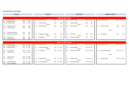### **Elimination Round - March 2022**

30 8 Rudy Palaganas 136 16 152

| Round 1                   |               | <b>Round 2</b>              |                    | Semi-Final                        |               | <b>MONTHLY FINALS</b>    |               |  |  |  |  |
|---------------------------|---------------|-----------------------------|--------------------|-----------------------------------|---------------|--------------------------|---------------|--|--|--|--|
|                           |               |                             |                    |                                   |               |                          |               |  |  |  |  |
|                           |               |                             |                    | <b>King of the Lanes</b>          |               |                          |               |  |  |  |  |
| Lane Seed Athlete's Name  | Game Hp Total | Lane Seed Athlete's Name    | Game Hp Total      | Lane Seed Athlete's Name          | Game Hp Total | Lane Seed Athlete's Name | Game Hp Total |  |  |  |  |
| 5 Ricky Duenas<br>13      | 162<br>162    |                             |                    |                                   |               |                          |               |  |  |  |  |
| 14 10 Maria Wood          | 137<br>8 145  | 21 5 Ricky Duenas           | 180<br>180         | 17<br>1 Manny Tagle               | 206<br>206    |                          |               |  |  |  |  |
|                           |               | versus                      |                    | versus                            |               |                          |               |  |  |  |  |
| 6 Mike Sanchez<br>15      | 193<br>193    | 7 Darrell Scott<br>22       | 184<br>184         | 18<br>7 Darrell Scott             | 175<br>175    | 1 Manny Tagle<br>13      | 208<br>208    |  |  |  |  |
| 7 Darrell Scott<br>16     | 199<br>199    |                             |                    |                                   |               |                          |               |  |  |  |  |
|                           |               |                             |                    |                                   |               | versus                   |               |  |  |  |  |
|                           |               |                             |                    |                                   |               |                          |               |  |  |  |  |
| 17<br>3 Cameron Santos    | 156<br>156    |                             |                    |                                   |               |                          |               |  |  |  |  |
| 9 Jay Leon Guerrero<br>18 | 153<br>153    | 3 Cameron Santos<br>23      | 141<br>141         | 15<br>4 RJ Santos                 | 220<br>220    | 4 RJ Santos<br>14        | 233<br>233    |  |  |  |  |
| 4 RJ Santos<br>19         | 199<br>199    | versus<br>4 RJ Santos<br>24 | 178<br>178         | versus<br>2 Ray San Nicolas<br>16 | 157<br>157    |                          |               |  |  |  |  |
| 8 Aaron Elliott<br>20     | 180<br>180    |                             |                    |                                   |               |                          |               |  |  |  |  |
|                           |               |                             |                    |                                   |               |                          |               |  |  |  |  |
|                           |               |                             |                    | <b>Prince of the Lanes</b>        |               |                          |               |  |  |  |  |
| Lane Seed Athlete's Name  | Game Hp Total | Lane Seed Athlete's Name    | Game Hp Total      | Lane Seed Athlete's Name          | Game Hp Total | Lane Seed Athlete's Name | Game Hp Total |  |  |  |  |
| 5 Gomez Martinez<br>23    | 170 12 182    |                             |                    |                                   |               |                          |               |  |  |  |  |
| 24 10 Rene Cariaso        | 135 15 150    | 5 Gomez Martinez<br>13      | 149 12 161         | 1 Sheila Bangs<br>19              | 143 29 172    |                          |               |  |  |  |  |
|                           |               | versus                      |                    | versus                            |               |                          |               |  |  |  |  |
| 6 Von Cabral<br>25        | 151 16 167    | 6 Von Cabral<br>14          | 135 16 151         | 20<br>5 Gomez Martinez            | 213 12 225    | 5 Gomez Martinez<br>15   | 139 12 151    |  |  |  |  |
| 7 Miyuki Kim<br>26        | 93 41 134     |                             |                    |                                   |               |                          |               |  |  |  |  |
|                           |               |                             |                    |                                   |               |                          |               |  |  |  |  |
|                           |               |                             |                    |                                   |               | versus                   |               |  |  |  |  |
| 3 Mike Brown<br>27        | 165 24 189    |                             |                    |                                   |               |                          |               |  |  |  |  |
| 28<br>9 Cris Leal         | 147 11 158    | 3 Mike Brown<br>15          | 221<br>197<br>- 24 | 21<br>3 Mike Brown                | 123 24 147    | 3 Mike Brown<br>16       | 145 24 169    |  |  |  |  |
|                           |               | versus                      |                    | versus                            |               |                          |               |  |  |  |  |

29 4 Corey Granillo 12 170 12 182 | 16 4 Corey Granillo 192 12 204 | 22 2 Jose Natividad 127 18 145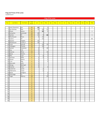#### King and Prince of the Lanes

Leaderboard

|     |                       |                   |                     |                 |                |                | King of the Lanes |     |            |     |     |     |     |            |            |               |
|-----|-----------------------|-------------------|---------------------|-----------------|----------------|----------------|-------------------|-----|------------|-----|-----|-----|-----|------------|------------|---------------|
|     |                       |                   |                     |                 |                |                |                   |     |            |     |     |     |     |            |            |               |
| Pos | Last Name             | <b>First Name</b> | Total<br>Points     | Jan             | Feb            | Mar            | Apr               | May | <b>Jun</b> | Jul | Aug | Sep | Oct | <b>Nov</b> | <b>Dec</b> | <b>Titles</b> |
|     |                       |                   |                     |                 |                |                |                   |     |            |     |     |     |     |            |            |               |
|     | 1 Leon Guerrero       | Jay               | 35                  | 30              |                | 5              |                   |     |            |     |     |     |     |            |            | $\mathbf{1}$  |
|     | 2 San Nicolas         | Ray               | $\overline{45}$     | 10              | 20             | 15             |                   |     |            |     |     |     |     |            |            |               |
|     | 3 Elliott             | Aaron             | 35                  |                 | 30             | 5              |                   |     |            |     |     |     |     |            |            | $\mathbf{1}$  |
|     | 4 Camacho             | Jeremiah          | 20                  | 20              |                |                |                   |     |            |     |     |     |     |            |            |               |
|     | 5 Santos              | RJ                | 50                  | $\overline{15}$ | 5              | 30             |                   |     |            |     |     |     |     |            |            | $\mathbf{1}$  |
|     | 6 Manibusan           | <b>Brian</b>      | 20                  | 5               | 15             |                |                   |     |            |     |     |     |     |            |            |               |
|     | $\overline{7}$ Castro | JD                | 15                  |                 | 15             |                |                   |     |            |     |     |     |     |            |            | DC            |
|     | 8 Aquino              | Angelo            | $\overline{15}$     | 15              |                |                |                   |     |            |     |     |     |     |            |            |               |
|     | 9 Manibusan           | Frank Jr          | 15                  | 10              | 5              |                |                   |     |            |     |     |     |     |            |            |               |
|     | 10 Scott              | Darrell           | 25                  |                 | 10             | 15             |                   |     |            |     |     |     |     |            |            |               |
|     | 11 Catbagan           | Charlie           | 10                  |                 | 10             |                |                   |     |            |     |     |     |     |            |            |               |
|     | 12 Santos             | Cameron           | 17                  | $\overline{2}$  | 5              | 10             |                   |     |            |     |     |     |     |            |            |               |
|     | 13 Day                | Erik              | 5                   | 5               |                |                |                   |     |            |     |     |     |     |            |            |               |
|     | 14 Duenas             | Ricky             | 15                  | 5               |                | 10             |                   |     |            |     |     |     |     |            |            |               |
|     | 15 Borja              | Darien            | $\overline{7}$      | 5               |                | $\overline{2}$ |                   |     |            |     |     |     |     |            |            |               |
|     | 16 Blas               | Juan              | $\overline{7}$      |                 | 5              | $\overline{2}$ |                   |     |            |     |     |     |     |            |            |               |
|     | 17 Sanchez            | Mike              | $\mathsf 9$         | 2               | $\overline{2}$ | 5              |                   |     |            |     |     |     |     |            |            |               |
|     | 18 Wood               | Maria             | $\overline{7}$      | 2               |                | 5              |                   |     |            |     |     |     |     |            |            |               |
|     | 19 Cruz               | Ray               | $\overline{4}$      | $\overline{2}$  |                | $\overline{2}$ |                   |     |            |     |     |     |     |            |            |               |
|     | 20 Mercado            | John              | $\overline{2}$      | $\overline{2}$  |                |                |                   |     |            |     |     |     |     |            |            |               |
|     | 21 Wong               | Michael           | $\overline{2}$      | $\overline{2}$  |                |                |                   |     |            |     |     |     |     |            |            |               |
|     | $22$ Duenas           | Evan              | $\overline{4}$      | $\overline{2}$  |                | $\overline{2}$ |                   |     |            |     |     |     |     |            |            |               |
|     | 23 Gutierrez          | Jared             | $\overline{2}$      |                 | $\overline{2}$ |                |                   |     |            |     |     |     |     |            |            |               |
|     | 24 Villanueva         | Cesar             | $\overline{2}$      |                 | $\overline{2}$ |                |                   |     |            |     |     |     |     |            |            |               |
|     | 25 Borja              | Gregory           | $\overline{2}$      |                 |                | $\overline{2}$ |                   |     |            |     |     |     |     |            |            |               |
|     | 26 Etheridge          | Ty                | $\overline{2}$      |                 |                | $\overline{2}$ |                   |     |            |     |     |     |     |            |            |               |
| 27  | Tagle                 | Manny             | 20                  |                 |                | 20             |                   |     |            |     |     |     |     |            |            |               |
| 28  |                       |                   | $\mathsf{O}\xspace$ |                 |                |                |                   |     |            |     |     |     |     |            |            |               |
| 29  |                       |                   | $\mathsf{O}\xspace$ |                 |                |                |                   |     |            |     |     |     |     |            |            |               |
| 30  |                       |                   | $\mathsf{O}\xspace$ |                 |                |                |                   |     |            |     |     |     |     |            |            |               |
| 31  |                       |                   | $\mathsf{O}\xspace$ |                 |                |                |                   |     |            |     |     |     |     |            |            |               |
| 32  |                       |                   | $\mathbf 0$         |                 |                |                |                   |     |            |     |     |     |     |            |            |               |
| 33  |                       |                   | $\mathsf{O}\xspace$ |                 |                |                |                   |     |            |     |     |     |     |            |            |               |
| 34  |                       |                   | $\mathsf{O}\xspace$ |                 |                |                |                   |     |            |     |     |     |     |            |            |               |
| 35  |                       |                   | $\mathsf{O}\xspace$ |                 |                |                |                   |     |            |     |     |     |     |            |            |               |
| 36  |                       |                   | $\mathsf{O}\xspace$ |                 |                |                |                   |     |            |     |     |     |     |            |            |               |
| 37  |                       |                   | $\mathsf{O}\xspace$ |                 |                |                |                   |     |            |     |     |     |     |            |            |               |
| 38  |                       |                   | $\mathsf{O}\xspace$ |                 |                |                |                   |     |            |     |     |     |     |            |            |               |
| 39  |                       |                   | $\mathsf{O}\xspace$ |                 |                |                |                   |     |            |     |     |     |     |            |            |               |
| 40  |                       |                   | $\mathsf{O}\xspace$ |                 |                |                |                   |     |            |     |     |     |     |            |            |               |